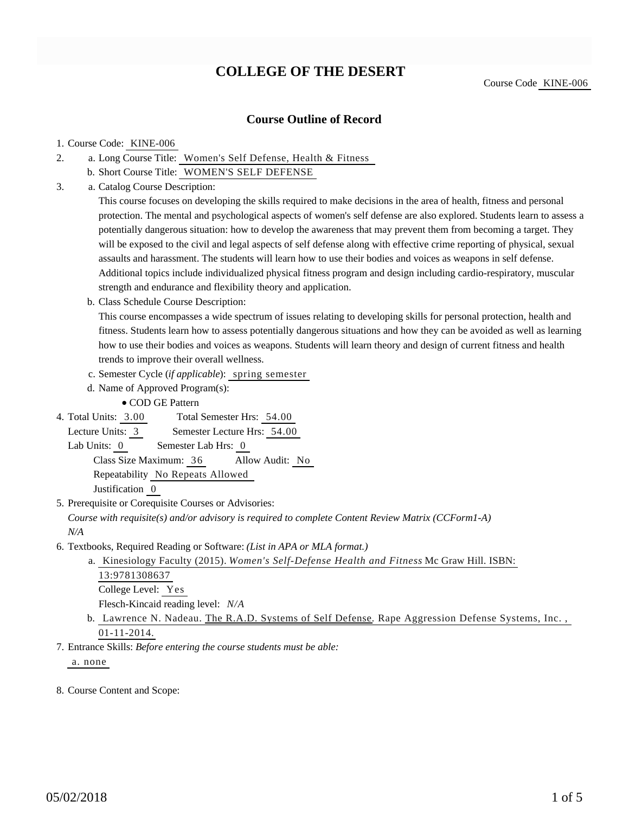# **COLLEGE OF THE DESERT**

### **Course Outline of Record**

#### 1. Course Code: KINE-006

- a. Long Course Title: Women's Self Defense, Health & Fitness 2.
	- b. Short Course Title: WOMEN'S SELF DEFENSE
- Catalog Course Description: a. 3.

This course focuses on developing the skills required to make decisions in the area of health, fitness and personal protection. The mental and psychological aspects of women's self defense are also explored. Students learn to assess a potentially dangerous situation: how to develop the awareness that may prevent them from becoming a target. They will be exposed to the civil and legal aspects of self defense along with effective crime reporting of physical, sexual assaults and harassment. The students will learn how to use their bodies and voices as weapons in self defense. Additional topics include individualized physical fitness program and design including cardio-respiratory, muscular strength and endurance and flexibility theory and application.

b. Class Schedule Course Description:

This course encompasses a wide spectrum of issues relating to developing skills for personal protection, health and fitness. Students learn how to assess potentially dangerous situations and how they can be avoided as well as learning how to use their bodies and voices as weapons. Students will learn theory and design of current fitness and health trends to improve their overall wellness.

- c. Semester Cycle (*if applicable*): spring semester
- d. Name of Approved Program(s):

COD GE Pattern

Total Semester Hrs: 54.00 4. Total Units: 3.00

Lecture Units: 3 Semester Lecture Hrs: 54.00

Lab Units: 0 Semester Lab Hrs: 0

Class Size Maximum: 36 Allow Audit: No

Repeatability No Repeats Allowed

Justification 0

5. Prerequisite or Corequisite Courses or Advisories:

*Course with requisite(s) and/or advisory is required to complete Content Review Matrix (CCForm1-A) N/A*

6. Textbooks, Required Reading or Software: (List in APA or MLA format.)

a. Kinesiology Faculty (2015). Women's Self-Defense Health and Fitness Mc Graw Hill. ISBN: 13:9781308637 College Level: Yes Flesch-Kincaid reading level: *N/A*

- b. Lawrence N. Nadeau. The R.A.D. Systems of Self Defense. Rape Aggression Defense Systems, Inc., 01-11-2014.
- Entrance Skills: *Before entering the course students must be able:* 7.

a. none

8. Course Content and Scope: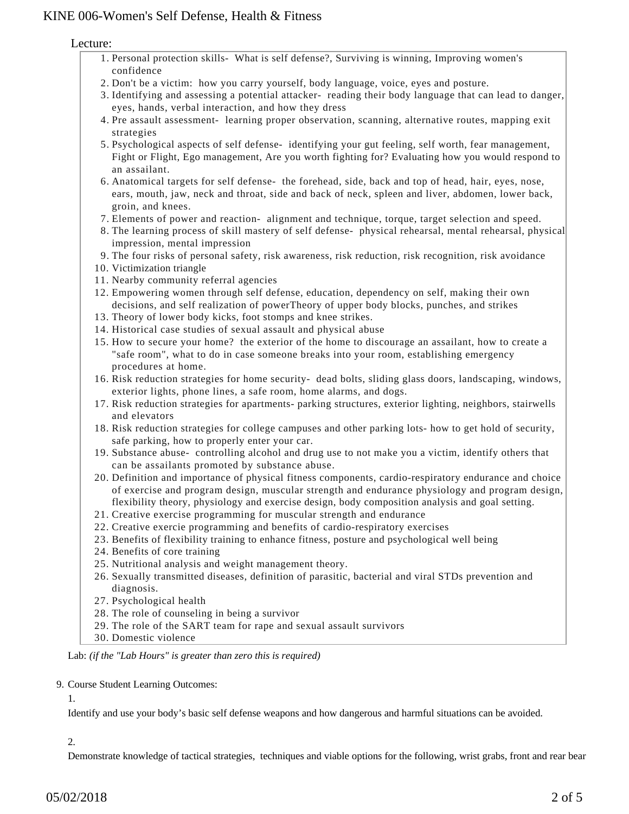## KINE 006-Women's Self Defense, Health & Fitness

Lecture:

- 1. Personal protection skills- What is self defense?, Surviving is winning, Improving women's confidence
- 2. Don't be a victim: how you carry yourself, body language, voice, eyes and posture.
- 3. Identifying and assessing a potential attacker- reading their body language that can lead to danger, eyes, hands, verbal interaction, and how they dress
- 4. Pre assault assessment- learning proper observation, scanning, alternative routes, mapping exit strategies
- Psychological aspects of self defense- identifying your gut feeling, self worth, fear management, 5. Fight or Flight, Ego management, Are you worth fighting for? Evaluating how you would respond to an assailant.
- Anatomical targets for self defense- the forehead, side, back and top of head, hair, eyes, nose, 6. ears, mouth, jaw, neck and throat, side and back of neck, spleen and liver, abdomen, lower back, groin, and knees.
- 7. Elements of power and reaction- alignment and technique, torque, target selection and speed.
- 8. The learning process of skill mastery of self defense- physical rehearsal, mental rehearsal, physical impression, mental impression
- 9. The four risks of personal safety, risk awareness, risk reduction, risk recognition, risk avoidance
- 10. Victimization triangle
- 11. Nearby community referral agencies
- Empowering women through self defense, education, dependency on self, making their own 12. decisions, and self realization of powerTheory of upper body blocks, punches, and strikes
- 13. Theory of lower body kicks, foot stomps and knee strikes.
- 14. Historical case studies of sexual assault and physical abuse
- 15. How to secure your home? the exterior of the home to discourage an assailant, how to create a "safe room", what to do in case someone breaks into your room, establishing emergency procedures at home.
- 16. Risk reduction strategies for home security- dead bolts, sliding glass doors, landscaping, windows, exterior lights, phone lines, a safe room, home alarms, and dogs.
- 17. Risk reduction strategies for apartments- parking structures, exterior lighting, neighbors, stairwells and elevators
- 18. Risk reduction strategies for college campuses and other parking lots- how to get hold of security, safe parking, how to properly enter your car.
- 19. Substance abuse- controlling alcohol and drug use to not make you a victim, identify others that can be assailants promoted by substance abuse.
- 20. Definition and importance of physical fitness components, cardio-respiratory endurance and choice of exercise and program design, muscular strength and endurance physiology and program design, flexibility theory, physiology and exercise design, body composition analysis and goal setting.
- 21. Creative exercise programming for muscular strength and endurance
- 22. Creative exercie programming and benefits of cardio-respiratory exercises
- 23. Benefits of flexibility training to enhance fitness, posture and psychological well being
- 24. Benefits of core training
- 25. Nutritional analysis and weight management theory.
- 26. Sexually transmitted diseases, definition of parasitic, bacterial and viral STDs prevention and diagnosis.
- 27. Psychological health
- 28. The role of counseling in being a survivor
- 29. The role of the SART team for rape and sexual assault survivors
- 30. Domestic violence

Lab: *(if the "Lab Hours" is greater than zero this is required)*

#### 9. Course Student Learning Outcomes:

1.

Identify and use your body's basic self defense weapons and how dangerous and harmful situations can be avoided.

### 2.

Demonstrate knowledge of tactical strategies, techniques and viable options for the following, wrist grabs, front and rear bear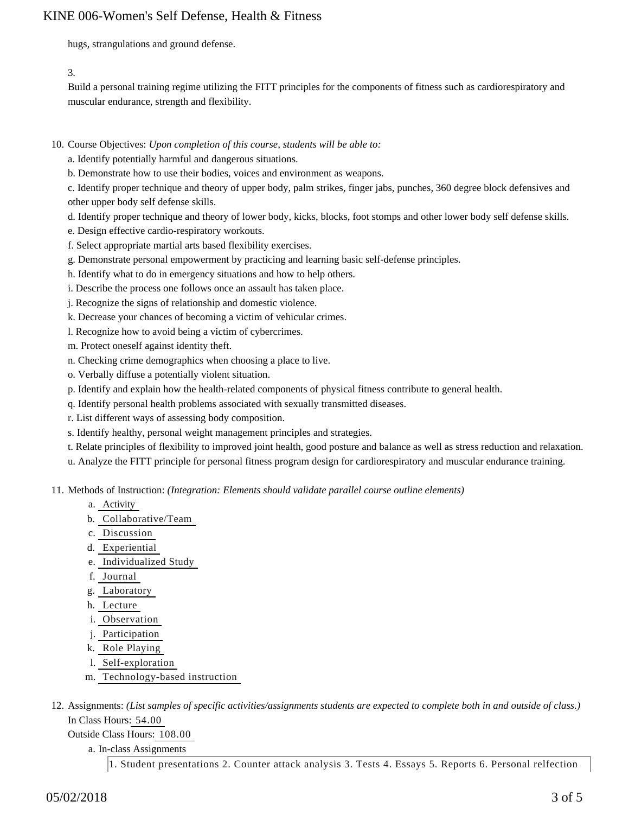## KINE 006-Women's Self Defense, Health & Fitness

hugs, strangulations and ground defense.

3.

Build a personal training regime utilizing the FITT principles for the components of fitness such as cardiorespiratory and muscular endurance, strength and flexibility.

- 10. Course Objectives: Upon completion of this course, students will be able to:
	- a. Identify potentially harmful and dangerous situations.
	- b. Demonstrate how to use their bodies, voices and environment as weapons.
	- c. Identify proper technique and theory of upper body, palm strikes, finger jabs, punches, 360 degree block defensives and other upper body self defense skills.
	- d. Identify proper technique and theory of lower body, kicks, blocks, foot stomps and other lower body self defense skills.
	- e. Design effective cardio-respiratory workouts.
	- f. Select appropriate martial arts based flexibility exercises.
	- g. Demonstrate personal empowerment by practicing and learning basic self-defense principles.
	- h. Identify what to do in emergency situations and how to help others.
	- i. Describe the process one follows once an assault has taken place.
	- j. Recognize the signs of relationship and domestic violence.
	- k. Decrease your chances of becoming a victim of vehicular crimes.
	- l. Recognize how to avoid being a victim of cybercrimes.
	- m. Protect oneself against identity theft.
	- n. Checking crime demographics when choosing a place to live.
	- o. Verbally diffuse a potentially violent situation.
	- p. Identify and explain how the health-related components of physical fitness contribute to general health.
	- q. Identify personal health problems associated with sexually transmitted diseases.
	- r. List different ways of assessing body composition.
	- s. Identify healthy, personal weight management principles and strategies.
	- t. Relate principles of flexibility to improved joint health, good posture and balance as well as stress reduction and relaxation.
	- u. Analyze the FITT principle for personal fitness program design for cardiorespiratory and muscular endurance training.
- 11. Methods of Instruction: *(Integration: Elements should validate parallel course outline elements)* 
	- a. Activity
	- b. Collaborative/Team
	- c. Discussion
	- d. Experiential
	- e. Individualized Study
	- f. Journal
	- g. Laboratory
	- h. Lecture
	- i. Observation
	- j. Participation
	- k. Role Playing
	- l. Self-exploration
	- m. Technology-based instruction
- 12. Assignments: (List samples of specific activities/assignments students are expected to complete both in and outside of class.) In Class Hours: 54.00

Outside Class Hours: 108.00

a. In-class Assignments

1. Student presentations 2. Counter attack analysis 3. Tests 4. Essays 5. Reports 6. Personal relfection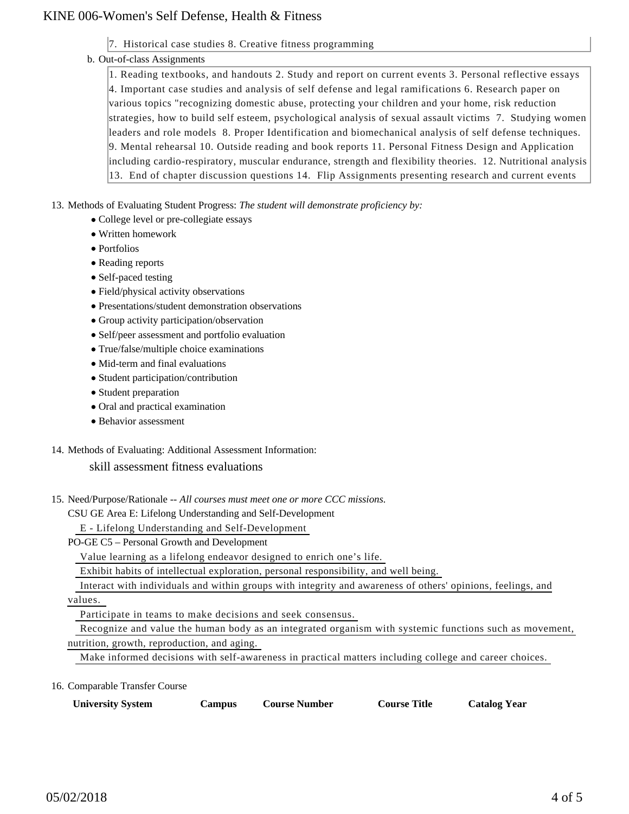## KINE 006-Women's Self Defense, Health & Fitness

7. Historical case studies 8. Creative fitness programming

### b. Out-of-class Assignments

1. Reading textbooks, and handouts 2. Study and report on current events 3. Personal reflective essays 4. Important case studies and analysis of self defense and legal ramifications 6. Research paper on various topics "recognizing domestic abuse, protecting your children and your home, risk reduction strategies, how to build self esteem, psychological analysis of sexual assault victims 7. Studying women leaders and role models 8. Proper Identification and biomechanical analysis of self defense techniques. 9. Mental rehearsal 10. Outside reading and book reports 11. Personal Fitness Design and Application including cardio-respiratory, muscular endurance, strength and flexibility theories. 12. Nutritional analysis 13. End of chapter discussion questions 14. Flip Assignments presenting research and current events

13. Methods of Evaluating Student Progress: The student will demonstrate proficiency by:

- College level or pre-collegiate essays
- Written homework
- Portfolios
- Reading reports
- Self-paced testing
- Field/physical activity observations
- Presentations/student demonstration observations
- Group activity participation/observation
- Self/peer assessment and portfolio evaluation
- True/false/multiple choice examinations
- Mid-term and final evaluations
- Student participation/contribution
- Student preparation
- Oral and practical examination
- Behavior assessment
- 14. Methods of Evaluating: Additional Assessment Information:

### skill assessment fitness evaluations

- 15. Need/Purpose/Rationale -- All courses must meet one or more CCC missions.
	- CSU GE Area E: Lifelong Understanding and Self-Development
		- E Lifelong Understanding and Self-Development

PO-GE C5 – Personal Growth and Development

Value learning as a lifelong endeavor designed to enrich one's life.

Exhibit habits of intellectual exploration, personal responsibility, and well being.

Interact with individuals and within groups with integrity and awareness of others' opinions, feelings, and

values.

Participate in teams to make decisions and seek consensus.

Recognize and value the human body as an integrated organism with systemic functions such as movement,

nutrition, growth, reproduction, and aging.

Make informed decisions with self-awareness in practical matters including college and career choices.

16. Comparable Transfer Course

| <b>University System</b> | $\mathcal{L}$ ampus | <b>Course Number</b> | <b>Course Title</b> | <b>Catalog Year</b> |
|--------------------------|---------------------|----------------------|---------------------|---------------------|
|                          |                     |                      |                     |                     |